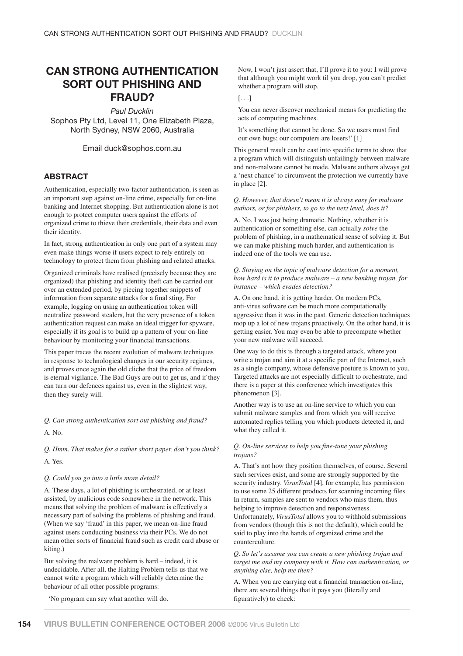# **CAN STRONG AUTHENTICATION SORT OUT PHISHING AND FRAUD?**

*Paul Ducklin*

Sophos Pty Ltd, Level 11, One Elizabeth Plaza, North Sydney, NSW 2060, Australia

Email duck@sophos.com.au

# **ABSTRACT**

Authentication, especially two-factor authentication, is seen as an important step against on-line crime, especially for on-line banking and Internet shopping. But authentication alone is not enough to protect computer users against the efforts of organized crime to thieve their credentials, their data and even their identity.

In fact, strong authentication in only one part of a system may even make things worse if users expect to rely entirely on technology to protect them from phishing and related attacks.

Organized criminals have realised (precisely because they are organized) that phishing and identity theft can be carried out over an extended period, by piecing together snippets of information from separate attacks for a final sting. For example, logging on using an authentication token will neutralize password stealers, but the very presence of a token authentication request can make an ideal trigger for spyware, especially if its goal is to build up a pattern of your on-line behaviour by monitoring your financial transactions.

This paper traces the recent evolution of malware techniques in response to technological changes in our security regimes, and proves once again the old cliche that the price of freedom is eternal vigilance. The Bad Guys are out to get us, and if they can turn our defences against us, even in the slightest way, then they surely will.

*Q. Can strong authentication sort out phishing and fraud?*

A. No.

*Q. Hmm. That makes for a rather short paper, don't you think?* A. Yes.

*Q. Could you go into a little more detail?*

A. These days, a lot of phishing is orchestrated, or at least assisted, by malicious code somewhere in the network. This means that solving the problem of malware is effectively a necessary part of solving the problems of phishing and fraud. (When we say 'fraud' in this paper, we mean on-line fraud against users conducting business via their PCs. We do not mean other sorts of financial fraud such as credit card abuse or kiting.)

But solving the malware problem is hard – indeed, it is undecidable. After all, the Halting Problem tells us that we cannot write a program which will reliably determine the behaviour of all other possible programs:

'No program can say what another will do.

Now, I won't just assert that, I'll prove it to you: I will prove that although you might work til you drop, you can't predict whether a program will stop.

# [. . .]

You can never discover mechanical means for predicting the acts of computing machines.

It's something that cannot be done. So we users must find our own bugs; our computers are losers!' [1]

This general result can be cast into specific terms to show that a program which will distinguish unfailingly between malware and non-malware cannot be made. Malware authors always get a 'next chance' to circumvent the protection we currently have in place [2].

# *Q. However, that doesn't mean it is always easy for malware authors, or for phishers, to go to the next level, does it?*

A. No. I was just being dramatic. Nothing, whether it is authentication or something else, can actually *solve* the problem of phishing, in a mathematical sense of solving it. But we can make phishing much harder, and authentication is indeed one of the tools we can use.

# *Q. Staying on the topic of malware detection for a moment, how hard is it to produce malware – a new banking trojan, for instance – which evades detection?*

A. On one hand, it is getting harder. On modern PCs, anti-virus software can be much more computationally aggressive than it was in the past. Generic detection techniques mop up a lot of new trojans proactively. On the other hand, it is getting easier. You may even be able to precompute whether your new malware will succeed.

One way to do this is through a targeted attack, where you write a trojan and aim it at a specific part of the Internet, such as a single company, whose defensive posture is known to you. Targeted attacks are not especially difficult to orchestrate, and there is a paper at this conference which investigates this phenomenon [3].

Another way is to use an on-line service to which you can submit malware samples and from which you will receive automated replies telling you which products detected it, and what they called it.

# *Q. On-line services to help you fine-tune your phishing trojans?*

A. That's not how they position themselves, of course. Several such services exist, and some are strongly supported by the security industry. *VirusTotal* [4], for example, has permission to use some 25 different products for scanning incoming files. In return, samples are sent to vendors who miss them, thus helping to improve detection and responsiveness. Unfortunately, *VirusTotal* allows you to withhold submissions from vendors (though this is not the default), which could be said to play into the hands of organized crime and the counterculture.

*Q. So let's assume you can create a new phishing trojan and target me and my company with it. How can authentication, or anything else, help me then?*

A. When you are carrying out a financial transaction on-line, there are several things that it pays you (literally and figuratively) to check: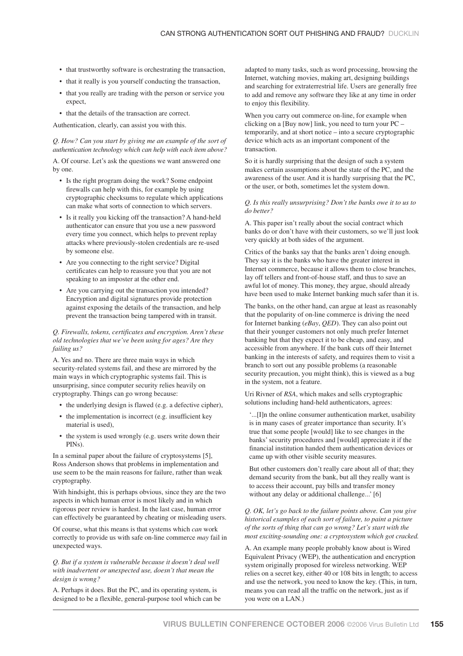- that trustworthy software is orchestrating the transaction,
- that it really is you yourself conducting the transaction,
- that you really are trading with the person or service you expect,
- that the details of the transaction are correct.

Authentication, clearly, can assist you with this.

# *Q. How? Can you start by giving me an example of the sort of authentication technology which can help with each item above?*

A. Of course. Let's ask the questions we want answered one by one.

- Is the right program doing the work? Some endpoint firewalls can help with this, for example by using cryptographic checksums to regulate which applications can make what sorts of connection to which servers.
- Is it really you kicking off the transaction? A hand-held authenticator can ensure that you use a new password every time you connect, which helps to prevent replay attacks where previously-stolen credentials are re-used by someone else.
- Are you connecting to the right service? Digital certificates can help to reassure you that you are not speaking to an imposter at the other end.
- Are you carrying out the transaction you intended? Encryption and digital signatures provide protection against exposing the details of the transaction, and help prevent the transaction being tampered with in transit.

*Q. Firewalls, tokens, certificates and encryption. Aren't these old technologies that we've been using for ages? Are they failing us?*

A. Yes and no. There are three main ways in which security-related systems fail, and these are mirrored by the main ways in which cryptographic systems fail. This is unsurprising, since computer security relies heavily on cryptography. Things can go wrong because:

- the underlying design is flawed (e.g. a defective cipher),
- the implementation is incorrect (e.g. insufficient key material is used),
- the system is used wrongly (e.g. users write down their PINs).

In a seminal paper about the failure of cryptosystems [5], Ross Anderson shows that problems in implementation and use seem to be the main reasons for failure, rather than weak cryptography.

With hindsight, this is perhaps obvious, since they are the two aspects in which human error is most likely and in which rigorous peer review is hardest. In the last case, human error can effectively be guaranteed by cheating or misleading users.

Of course, what this means is that systems which *can* work correctly to provide us with safe on-line commerce *may* fail in unexpected ways.

# *Q. But if a system is vulnerable because it doesn't deal well with inadvertent or unexpected use, doesn't that mean the design is wrong?*

A. Perhaps it does. But the PC, and its operating system, is designed to be a flexible, general-purpose tool which can be adapted to many tasks, such as word processing, browsing the Internet, watching movies, making art, designing buildings and searching for extraterrestrial life. Users are generally free to add and remove any software they like at any time in order to enjoy this flexibility.

When you carry out commerce on-line, for example when clicking on a [Buy now] link, you need to turn your PC – temporarily, and at short notice – into a secure cryptographic device which acts as an important component of the transaction.

So it is hardly surprising that the design of such a system makes certain assumptions about the state of the PC, and the awareness of the user. And it is hardly surprising that the PC, or the user, or both, sometimes let the system down.

#### *Q. Is this really unsurprising? Don't the banks owe it to us to do better?*

A. This paper isn't really about the social contract which banks do or don't have with their customers, so we'll just look very quickly at both sides of the argument.

Critics of the banks say that the banks aren't doing enough. They say it is the banks who have the greater interest in Internet commerce, because it allows them to close branches, lay off tellers and front-of-house staff, and thus to save an awful lot of money. This money, they argue, should already have been used to make Internet banking much safer than it is.

The banks, on the other hand, can argue at least as reasonably that the popularity of on-line commerce is driving the need for Internet banking (*eBay*, *QED*). They can also point out that their younger customers not only much prefer Internet banking but that they expect it to be cheap, and easy, and accessible from anywhere. If the bank cuts off their Internet banking in the interests of safety, and requires them to visit a branch to sort out any possible problems (a reasonable security precaution, you might think), this is viewed as a bug in the system, not a feature.

Uri Rivner of *RSA*, which makes and sells cryptographic solutions including hand-held authenticators, agrees:

'...[I]n the online consumer authentication market, usability is in many cases of greater importance than security. It's true that some people [would] like to see changes in the banks' security procedures and [would] appreciate it if the financial institution handed them authentication devices or came up with other visible security measures.

But other customers don't really care about all of that; they demand security from the bank, but all they really want is to access their account, pay bills and transfer money without any delay or additional challenge...' [6]

*Q. OK, let's go back to the failure points above. Can you give historical examples of each sort of failure, to paint a picture of the sorts of thing that can go wrong? Let's start with the most exciting-sounding one: a cryptosystem which got cracked.*

A. An example many people probably know about is Wired Equivalent Privacy (WEP), the authentication and encryption system originally proposed for wireless networking. WEP relies on a secret key, either 40 or 108 bits in length; to access and use the network, you need to know the key. (This, in turn, means you can read all the traffic on the network, just as if you were on a LAN.)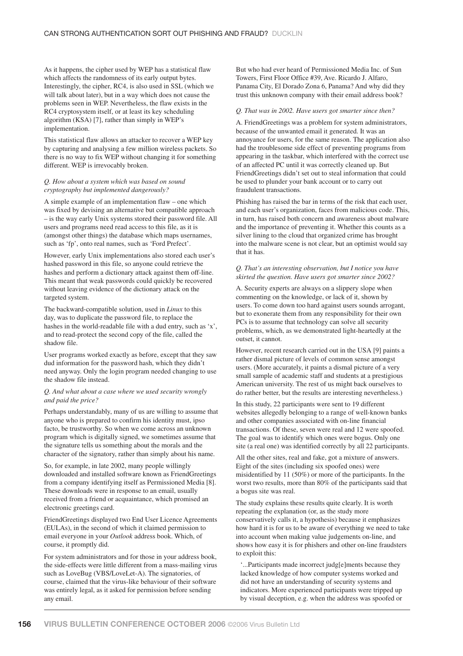As it happens, the cipher used by WEP has a statistical flaw which affects the randomness of its early output bytes. Interestingly, the cipher, RC4, is also used in SSL (which we will talk about later), but in a way which does not cause the problems seen in WEP. Nevertheless, the flaw exists in the RC4 cryptosystem itself, or at least its key scheduling algorithm (KSA) [7], rather than simply in WEP's implementation.

This statistical flaw allows an attacker to recover a WEP key by capturing and analysing a few million wireless packets. So there is no way to fix WEP without changing it for something different. WEP is irrevocably broken.

#### *Q. How about a system which was based on sound cryptography but implemented dangerously?*

A simple example of an implementation flaw – one which was fixed by devising an alternative but compatible approach – is the way early Unix systems stored their password file. All users and programs need read access to this file, as it is (amongst other things) the database which maps usernames, such as 'fp', onto real names, such as 'Ford Prefect'.

However, early Unix implementations also stored each user's hashed password in this file, so anyone could retrieve the hashes and perform a dictionary attack against them off-line. This meant that weak passwords could quickly be recovered without leaving evidence of the dictionary attack on the targeted system.

The backward-compatible solution, used in *Linux* to this day, was to duplicate the password file, to replace the hashes in the world-readable file with a dud entry, such as 'x', and to read-protect the second copy of the file, called the shadow file.

User programs worked exactly as before, except that they saw dud information for the password hash, which they didn't need anyway. Only the login program needed changing to use the shadow file instead.

#### *Q. And what about a case where we used security wrongly and paid the price?*

Perhaps understandably, many of us are willing to assume that anyone who is prepared to confirm his identity must, ipso facto, be trustworthy. So when we come across an unknown program which is digitally signed, we sometimes assume that the signature tells us something about the morals and the character of the signatory, rather than simply about his name.

So, for example, in late 2002, many people willingly downloaded and installed software known as FriendGreetings from a company identifying itself as Permissioned Media [8]. These downloads were in response to an email, usually received from a friend or acquaintance, which promised an electronic greetings card.

FriendGreetings displayed two End User Licence Agreements (EULAs), in the second of which it claimed permission to email everyone in your *Outlook* address book. Which, of course, it promptly did.

For system administrators and for those in your address book, the side-effects were little different from a mass-mailing virus such as LoveBug (VBS/LoveLet-A). The signatories, of course, claimed that the virus-like behaviour of their software was entirely legal, as it asked for permission before sending any email.

But who had ever heard of Permissioned Media Inc. of Sun Towers, First Floor Office #39, Ave. Ricardo J. Alfaro, Panama City, El Dorado Zona 6, Panama? And why did they trust this unknown company with their email address book?

#### *Q. That was in 2002. Have users got smarter since then?*

A. FriendGreetings was a problem for system administrators, because of the unwanted email it generated. It was an annoyance for users, for the same reason. The application also had the troublesome side effect of preventing programs from appearing in the taskbar, which interfered with the correct use of an affected PC until it was correctly cleaned up. But FriendGreetings didn't set out to steal information that could be used to plunder your bank account or to carry out fraudulent transactions.

Phishing has raised the bar in terms of the risk that each user, and each user's organization, faces from malicious code. This, in turn, has raised both concern and awareness about malware and the importance of preventing it. Whether this counts as a silver lining to the cloud that organized crime has brought into the malware scene is not clear, but an optimist would say that it has.

# *Q. That's an interesting observation, but I notice you have skirted the question. Have users got smarter since 2002?*

A. Security experts are always on a slippery slope when commenting on the knowledge, or lack of it, shown by users. To come down too hard against users sounds arrogant, but to exonerate them from any responsibility for their own PCs is to assume that technology can solve all security problems, which, as we demonstrated light-heartedly at the outset, it cannot.

However, recent research carried out in the USA [9] paints a rather dismal picture of levels of common sense amongst users. (More accurately, it paints a dismal picture of a very small sample of academic staff and students at a prestigious American university. The rest of us might back ourselves to do rather better, but the results are interesting nevertheless.)

In this study, 22 participants were sent to 19 different websites allegedly belonging to a range of well-known banks and other companies associated with on-line financial transactions. Of these, seven were real and 12 were spoofed. The goal was to identify which ones were bogus. Only one site (a real one) was identified correctly by all 22 participants.

All the other sites, real and fake, got a mixture of answers. Eight of the sites (including six spoofed ones) were misidentified by 11 (50%) or more of the participants. In the worst two results, more than 80% of the participants said that a bogus site was real.

The study explains these results quite clearly. It is worth repeating the explanation (or, as the study more conservatively calls it, a hypothesis) because it emphasizes how hard it is for us to be aware of everything we need to take into account when making value judgements on-line, and shows how easy it is for phishers and other on-line fraudsters to exploit this:

'...Participants made incorrect judg[e]ments because they lacked knowledge of how computer systems worked and did not have an understanding of security systems and indicators. More experienced participants were tripped up by visual deception, e.g. when the address was spoofed or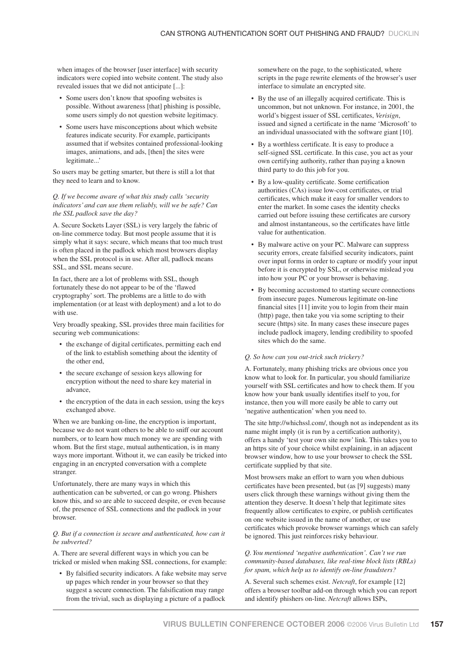when images of the browser [user interface] with security indicators were copied into website content. The study also revealed issues that we did not anticipate [...]:

- Some users don't know that spoofing websites is possible. Without awareness [that] phishing is possible, some users simply do not question website legitimacy.
- Some users have misconceptions about which website features indicate security. For example, participants assumed that if websites contained professional-looking images, animations, and ads, [then] the sites were legitimate...'

So users may be getting smarter, but there is still a lot that they need to learn and to know.

# *Q. If we become aware of what this study calls 'security indicators' and can use them reliably, will we be safe? Can the SSL padlock save the day?*

A. Secure Sockets Layer (SSL) is very largely the fabric of on-line commerce today. But most people assume that it is simply what it says: secure, which means that too much trust is often placed in the padlock which most browsers display when the SSL protocol is in use. After all, padlock means SSL, and SSL means secure.

In fact, there are a lot of problems with SSL, though fortunately these do not appear to be of the 'flawed cryptography' sort. The problems are a little to do with implementation (or at least with deployment) and a lot to do with use.

Very broadly speaking, SSL provides three main facilities for securing web communications:

- the exchange of digital certificates, permitting each end of the link to establish something about the identity of the other end,
- the secure exchange of session keys allowing for encryption without the need to share key material in advance,
- the encryption of the data in each session, using the keys exchanged above.

When we are banking on-line, the encryption is important, because we do not want others to be able to sniff our account numbers, or to learn how much money we are spending with whom. But the first stage, mutual authentication, is in many ways more important. Without it, we can easily be tricked into engaging in an encrypted conversation with a complete stranger.

Unfortunately, there are many ways in which this authentication can be subverted, or can go wrong. Phishers know this, and so are able to succeed despite, or even because of, the presence of SSL connections and the padlock in your browser.

### *Q. But if a connection is secure and authenticated, how can it be subverted?*

A. There are several different ways in which you can be tricked or misled when making SSL connections, for example:

• By falsified security indicators. A fake website may serve up pages which render in your browser so that they suggest a secure connection. The falsification may range from the trivial, such as displaying a picture of a padlock

somewhere on the page, to the sophisticated, where scripts in the page rewrite elements of the browser's user interface to simulate an encrypted site.

- By the use of an illegally acquired certificate. This is uncommon, but not unknown. For instance, in 2001, the world's biggest issuer of SSL certificates, *Verisign*, issued and signed a certificate in the name 'Microsoft' to an individual unassociated with the software giant [10].
- By a worthless certificate. It is easy to produce a self-signed SSL certificate. In this case, you act as your own certifying authority, rather than paying a known third party to do this job for you.
- By a low-quality certificate. Some certification authorities (CAs) issue low-cost certificates, or trial certificates, which make it easy for smaller vendors to enter the market. In some cases the identity checks carried out before issuing these certificates are cursory and almost instantaneous, so the certificates have little value for authentication.
- By malware active on your PC. Malware can suppress security errors, create falsified security indicators, paint over input forms in order to capture or modify your input before it is encrypted by SSL, or otherwise mislead you into how your PC or your browser is behaving.
- By becoming accustomed to starting secure connections from insecure pages. Numerous legitimate on-line financial sites [11] invite you to login from their main (http) page, then take you via some scripting to their secure (https) site. In many cases these insecure pages include padlock imagery, lending credibility to spoofed sites which do the same.

#### *Q. So how can you out-trick such trickery?*

A. Fortunately, many phishing tricks are obvious once you know what to look for. In particular, you should familiarize yourself with SSL certificates and how to check them. If you know how your bank usually identifies itself to you, for instance, then you will more easily be able to carry out 'negative authentication' when you need to.

The site http://whichssl.com/, though not as independent as its name might imply (it is run by a certification authority), offers a handy 'test your own site now' link. This takes you to an https site of your choice whilst explaining, in an adjacent browser window, how to use your browser to check the SSL certificate supplied by that site.

Most browsers make an effort to warn you when dubious certificates have been presented, but (as [9] suggests) many users click through these warnings without giving them the attention they deserve. It doesn't help that legitimate sites frequently allow certificates to expire, or publish certificates on one website issued in the name of another, or use certificates which provoke browser warnings which can safely be ignored. This just reinforces risky behaviour.

# *Q. You mentioned 'negative authentication'. Can't we run community-based databases, like real-time block lists (RBLs) for spam, which help us to identify on-line fraudsters?*

A. Several such schemes exist. *Netcraft*, for example [12] offers a browser toolbar add-on through which you can report and identify phishers on-line. *Netcraft* allows ISPs,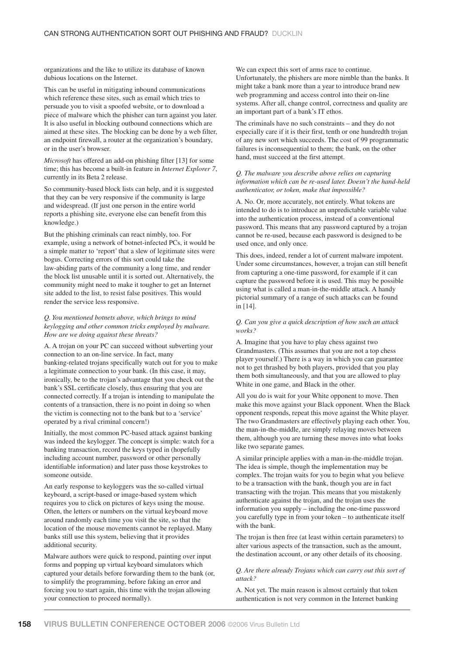organizations and the like to utilize its database of known dubious locations on the Internet.

This can be useful in mitigating inbound communications which reference these sites, such as email which tries to persuade you to visit a spoofed website, or to download a piece of malware which the phisher can turn against you later. It is also useful in blocking outbound connections which are aimed at these sites. The blocking can be done by a web filter, an endpoint firewall, a router at the organization's boundary, or in the user's browser.

*Microsoft* has offered an add-on phishing filter [13] for some time; this has become a built-in feature in *Internet Explorer 7*, currently in its Beta 2 release.

So community-based block lists can help, and it is suggested that they can be very responsive if the community is large and widespread. (If just one person in the entire world reports a phishing site, everyone else can benefit from this knowledge.)

But the phishing criminals can react nimbly, too. For example, using a network of botnet-infected PCs, it would be a simple matter to 'report' that a slew of legitimate sites were bogus. Correcting errors of this sort could take the law-abiding parts of the community a long time, and render the block list unusable until it is sorted out. Alternatively, the community might need to make it tougher to get an Internet site added to the list, to resist false positives. This would render the service less responsive.

*Q. You mentioned botnets above, which brings to mind keylogging and other common tricks employed by malware. How are we doing against these threats?*

A. A trojan on your PC can succeed without subverting your connection to an on-line service. In fact, many banking-related trojans specifically watch out for you to make a legitimate connection to your bank. (In this case, it may, ironically, be to the trojan's advantage that you check out the bank's SSL certificate closely, thus ensuring that you are connected correctly. If a trojan is intending to manipulate the contents of a transaction, there is no point in doing so when the victim is connecting not to the bank but to a 'service' operated by a rival criminal concern!)

Initially, the most common PC-based attack against banking was indeed the keylogger. The concept is simple: watch for a banking transaction, record the keys typed in (hopefully including account number, password or other personally identifiable information) and later pass those keystrokes to someone outside.

An early response to keyloggers was the so-called virtual keyboard, a script-based or image-based system which requires you to click on pictures of keys using the mouse. Often, the letters or numbers on the virtual keyboard move around randomly each time you visit the site, so that the location of the mouse movements cannot be replayed. Many banks still use this system, believing that it provides additional security.

Malware authors were quick to respond, painting over input forms and popping up virtual keyboard simulators which captured your details before forwarding them to the bank (or, to simplify the programming, before faking an error and forcing you to start again, this time with the trojan allowing your connection to proceed normally).

We can expect this sort of arms race to continue. Unfortunately, the phishers are more nimble than the banks. It might take a bank more than a year to introduce brand new web programming and access control into their on-line systems. After all, change control, correctness and quality are an important part of a bank's IT ethos.

The criminals have no such constraints – and they do not especially care if it is their first, tenth or one hundredth trojan of any new sort which succeeds. The cost of 99 programmatic failures is inconsequential to them; the bank, on the other hand, must succeed at the first attempt.

### *Q. The malware you describe above relies on capturing information which can be re-used later. Doesn't the hand-held authenticator, or token, make that impossible?*

A. No. Or, more accurately, not entirely. What tokens are intended to do is to introduce an unpredictable variable value into the authentication process, instead of a conventional password. This means that any password captured by a trojan cannot be re-used, because each password is designed to be used once, and only once.

This does, indeed, render a lot of current malware impotent. Under some circumstances, however, a trojan can still benefit from capturing a one-time password, for example if it can capture the password before it is used. This may be possible using what is called a man-in-the-middle attack. A handy pictorial summary of a range of such attacks can be found in [14].

#### *Q. Can you give a quick description of how such an attack works?*

A. Imagine that you have to play chess against two Grandmasters. (This assumes that you are not a top chess player yourself.) There is a way in which you can guarantee not to get thrashed by both players, provided that you play them both simultaneously, and that you are allowed to play White in one game, and Black in the other.

All you do is wait for your White opponent to move. Then make this move against your Black opponent. When the Black opponent responds, repeat this move against the White player. The two Grandmasters are effectively playing each other. You, the man-in-the-middle, are simply relaying moves between them, although you are turning these moves into what looks like two separate games.

A similar principle applies with a man-in-the-middle trojan. The idea is simple, though the implementation may be complex. The trojan waits for you to begin what you believe to be a transaction with the bank, though you are in fact transacting with the trojan. This means that you mistakenly authenticate against the trojan, and the trojan uses the information you supply – including the one-time password you carefully type in from your token – to authenticate itself with the bank.

The trojan is then free (at least within certain parameters) to alter various aspects of the transaction, such as the amount, the destination account, or any other details of its choosing.

# *Q. Are there already Trojans which can carry out this sort of attack?*

A. Not yet. The main reason is almost certainly that token authentication is not very common in the Internet banking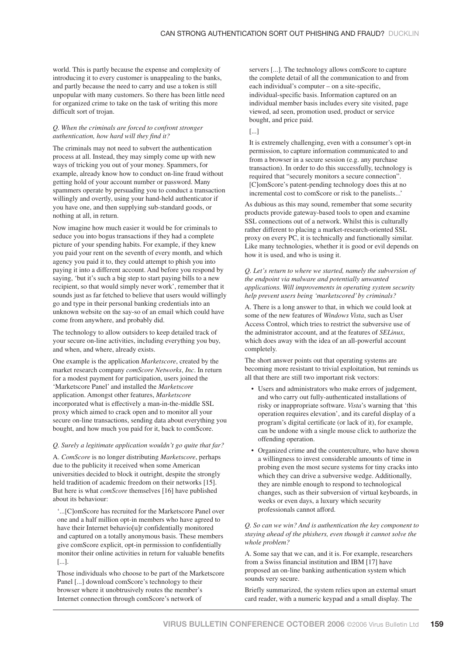world. This is partly because the expense and complexity of introducing it to every customer is unappealing to the banks, and partly because the need to carry and use a token is still unpopular with many customers. So there has been little need for organized crime to take on the task of writing this more difficult sort of trojan.

#### *Q. When the criminals are forced to confront stronger authentication, how hard will they find it?*

The criminals may not need to subvert the authentication process at all. Instead, they may simply come up with new ways of tricking you out of your money. Spammers, for example, already know how to conduct on-line fraud without getting hold of your account number or password. Many spammers operate by persuading you to conduct a transaction willingly and overtly, using your hand-held authenticator if you have one, and then supplying sub-standard goods, or nothing at all, in return.

Now imagine how much easier it would be for criminals to seduce you into bogus transactions if they had a complete picture of your spending habits. For example, if they knew you paid your rent on the seventh of every month, and which agency you paid it to, they could attempt to phish you into paying it into a different account. And before you respond by saying, 'but it's such a big step to start paying bills to a new recipient, so that would simply never work', remember that it sounds just as far fetched to believe that users would willingly go and type in their personal banking credentials into an unknown website on the say-so of an email which could have come from anywhere, and probably did.

The technology to allow outsiders to keep detailed track of your secure on-line activities, including everything you buy, and when, and where, already exists.

One example is the application *Marketscore*, created by the market research company *comScore Networks*, *Inc*. In return for a modest payment for participation, users joined the 'Marketscore Panel' and installed the *Marketscore* application. Amongst other features, *Marketscore* incorporated what is effectively a man-in-the-middle SSL proxy which aimed to crack open and to monitor all your secure on-line transactions, sending data about everything you bought, and how much you paid for it, back to comScore.

# *Q. Surely a legitimate application wouldn't go quite that far?*

A. *ComScore* is no longer distributing *Marketscore*, perhaps due to the publicity it received when some American universities decided to block it outright, despite the strongly held tradition of academic freedom on their networks [15]. But here is what *comScore* themselves [16] have published about its behaviour:

'...[C]omScore has recruited for the Marketscore Panel over one and a half million opt-in members who have agreed to have their Internet behavio[u]r confidentially monitored and captured on a totally anonymous basis. These members give comScore explicit, opt-in permission to confidentially monitor their online activities in return for valuable benefits [...].

Those individuals who choose to be part of the Marketscore Panel [...] download comScore's technology to their browser where it unobtrusively routes the member's Internet connection through comScore's network of

servers [...]. The technology allows comScore to capture the complete detail of all the communication to and from each individual's computer – on a site-specific, individual-specific basis. Information captured on an individual member basis includes every site visited, page viewed, ad seen, promotion used, product or service bought, and price paid.

#### [...]

It is extremely challenging, even with a consumer's opt-in permission, to capture information communicated to and from a browser in a secure session (e.g. any purchase transaction). In order to do this successfully, technology is required that "securely monitors a secure connection". [C]omScore's patent-pending technology does this at no incremental cost to comScore or risk to the panelists...'

As dubious as this may sound, remember that some security products provide gateway-based tools to open and examine SSL connections out of a network. Whilst this is culturally rather different to placing a market-research-oriented SSL proxy on every PC, it is technically and functionally similar. Like many technologies, whether it is good or evil depends on how it is used, and who is using it.

### *Q. Let's return to where we started, namely the subversion of the endpoint via malware and potentially unwanted applications. Will improvements in operating system security help prevent users being 'marketscored' by criminals?*

A. There is a long answer to that, in which we could look at some of the new features of *Windows Vista*, such as User Access Control, which tries to restrict the subversive use of the administrator account, and at the features of *SELinux*, which does away with the idea of an all-powerful account completely.

The short answer points out that operating systems are becoming more resistant to trivial exploitation, but reminds us all that there are still two important risk vectors:

- Users and administrators who make errors of judgement, and who carry out fully-authenticated installations of risky or inappropriate software. *Vista*'s warning that 'this operation requires elevation', and its careful display of a program's digital certificate (or lack of it), for example, can be undone with a single mouse click to authorize the offending operation.
- Organized crime and the counterculture, who have shown a willingness to invest considerable amounts of time in probing even the most secure systems for tiny cracks into which they can drive a subversive wedge. Additionally, they are nimble enough to respond to technological changes, such as their subversion of virtual keyboards, in weeks or even days, a luxury which security professionals cannot afford.

# *Q. So can we win? And is authentication the key component to staying ahead of the phishers, even though it cannot solve the whole problem?*

A. Some say that we can, and it is. For example, researchers from a Swiss financial institution and IBM [17] have proposed an on-line banking authentication system which sounds very secure.

Briefly summarized, the system relies upon an external smart card reader, with a numeric keypad and a small display. The